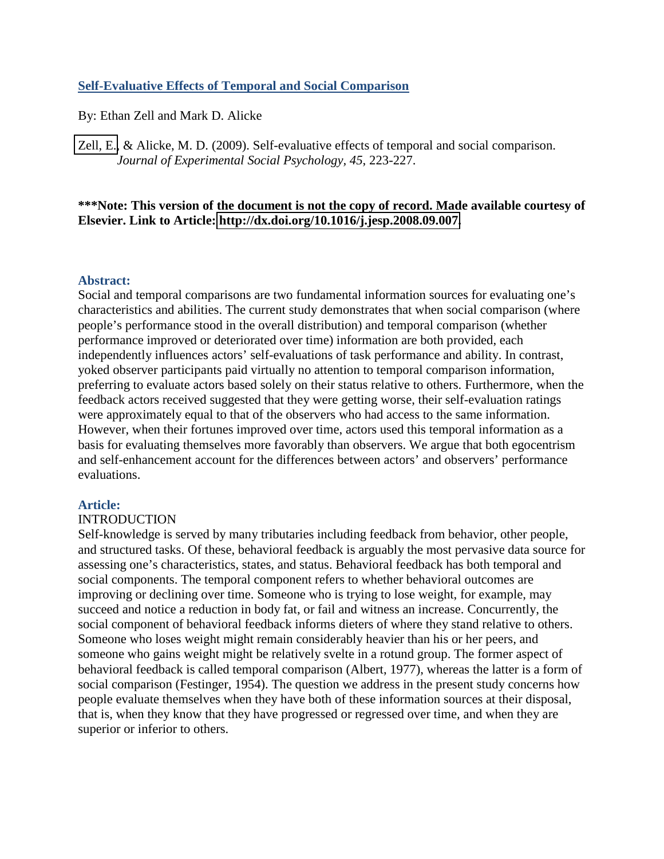# **Self-Evaluative Effects of Temporal and Social Comparison**

By: Ethan Zell and Mark D. Alicke

[Zell, E.,](http://libres.uncg.edu/ir/clist.aspx?id=4459) & Alicke, M. D. (2009). Self-evaluative effects of temporal and social comparison. *Journal of Experimental Social Psychology, 45*, 223-227.

# **\*\*\*Note: This version of the document is not the copy of record. Made available courtesy of Elsevier. Link to Article: [http://dx.doi.org/10.1016/j.jesp.2008.09.007.](http://dx.doi.org/10.1016/j.jesp.2008.09.007)**

## **Abstract:**

Social and temporal comparisons are two fundamental information sources for evaluating one's characteristics and abilities. The current study demonstrates that when social comparison (where people's performance stood in the overall distribution) and temporal comparison (whether performance improved or deteriorated over time) information are both provided, each independently influences actors' self-evaluations of task performance and ability. In contrast, yoked observer participants paid virtually no attention to temporal comparison information, preferring to evaluate actors based solely on their status relative to others. Furthermore, when the feedback actors received suggested that they were getting worse, their self-evaluation ratings were approximately equal to that of the observers who had access to the same information. However, when their fortunes improved over time, actors used this temporal information as a basis for evaluating themselves more favorably than observers. We argue that both egocentrism and self-enhancement account for the differences between actors' and observers' performance evaluations.

### **Article:**

### **INTRODUCTION**

Self-knowledge is served by many tributaries including feedback from behavior, other people, and structured tasks. Of these, behavioral feedback is arguably the most pervasive data source for assessing one's characteristics, states, and status. Behavioral feedback has both temporal and social components. The temporal component refers to whether behavioral outcomes are improving or declining over time. Someone who is trying to lose weight, for example, may succeed and notice a reduction in body fat, or fail and witness an increase. Concurrently, the social component of behavioral feedback informs dieters of where they stand relative to others. Someone who loses weight might remain considerably heavier than his or her peers, and someone who gains weight might be relatively svelte in a rotund group. The former aspect of behavioral feedback is called temporal comparison (Albert, 1977), whereas the latter is a form of social comparison (Festinger, 1954). The question we address in the present study concerns how people evaluate themselves when they have both of these information sources at their disposal, that is, when they know that they have progressed or regressed over time, and when they are superior or inferior to others.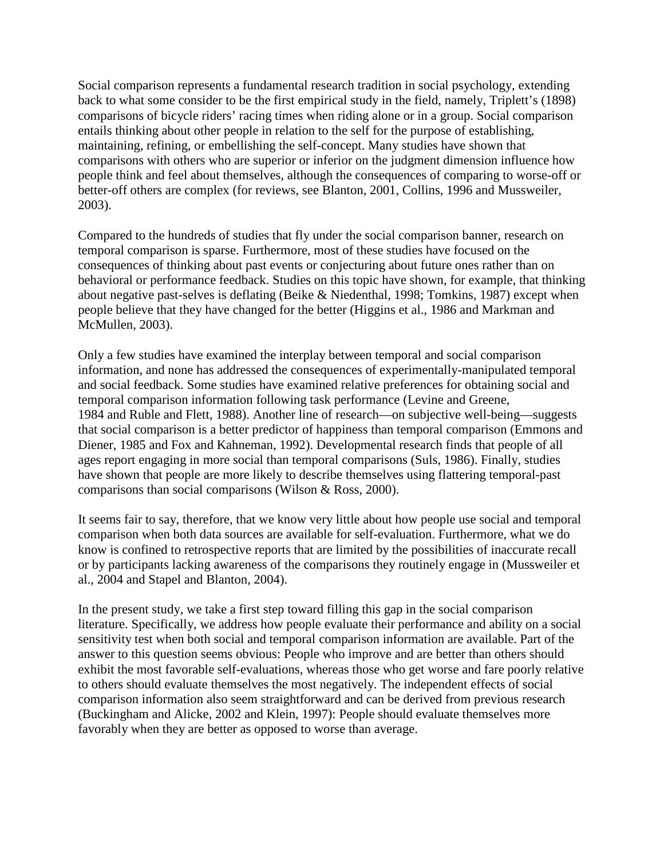Social comparison represents a fundamental research tradition in social psychology, extending back to what some consider to be the first empirical study in the field, namely, Triplett's (1898) comparisons of bicycle riders' racing times when riding alone or in a group. Social comparison entails thinking about other people in relation to the self for the purpose of establishing, maintaining, refining, or embellishing the self-concept. Many studies have shown that comparisons with others who are superior or inferior on the judgment dimension influence how people think and feel about themselves, although the consequences of comparing to worse-off or better-off others are complex (for reviews, see Blanton, 2001, Collins, 1996 and Mussweiler, 2003).

Compared to the hundreds of studies that fly under the social comparison banner, research on temporal comparison is sparse. Furthermore, most of these studies have focused on the consequences of thinking about past events or conjecturing about future ones rather than on behavioral or performance feedback. Studies on this topic have shown, for example, that thinking about negative past-selves is deflating (Beike & Niedenthal, 1998; Tomkins, 1987) except when people believe that they have changed for the better (Higgins et al., 1986 and Markman and McMullen, 2003).

Only a few studies have examined the interplay between temporal and social comparison information, and none has addressed the consequences of experimentally-manipulated temporal and social feedback. Some studies have examined relative preferences for obtaining social and temporal comparison information following task performance (Levine and Greene, 1984 and Ruble and Flett, 1988). Another line of research—on subjective well-being—suggests that social comparison is a better predictor of happiness than temporal comparison (Emmons and Diener, 1985 and Fox and Kahneman, 1992). Developmental research finds that people of all ages report engaging in more social than temporal comparisons (Suls, 1986). Finally, studies have shown that people are more likely to describe themselves using flattering temporal-past comparisons than social comparisons (Wilson & Ross, 2000).

It seems fair to say, therefore, that we know very little about how people use social and temporal comparison when both data sources are available for self-evaluation. Furthermore, what we do know is confined to retrospective reports that are limited by the possibilities of inaccurate recall or by participants lacking awareness of the comparisons they routinely engage in (Mussweiler et al., 2004 and Stapel and Blanton, 2004).

In the present study, we take a first step toward filling this gap in the social comparison literature. Specifically, we address how people evaluate their performance and ability on a social sensitivity test when both social and temporal comparison information are available. Part of the answer to this question seems obvious: People who improve and are better than others should exhibit the most favorable self-evaluations, whereas those who get worse and fare poorly relative to others should evaluate themselves the most negatively. The independent effects of social comparison information also seem straightforward and can be derived from previous research (Buckingham and Alicke, 2002 and Klein, 1997): People should evaluate themselves more favorably when they are better as opposed to worse than average.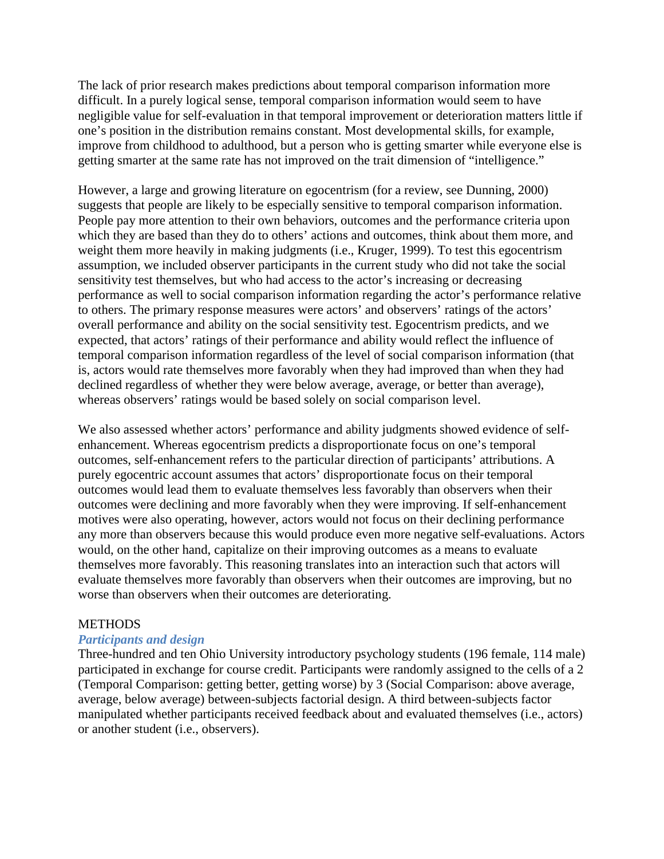The lack of prior research makes predictions about temporal comparison information more difficult. In a purely logical sense, temporal comparison information would seem to have negligible value for self-evaluation in that temporal improvement or deterioration matters little if one's position in the distribution remains constant. Most developmental skills, for example, improve from childhood to adulthood, but a person who is getting smarter while everyone else is getting smarter at the same rate has not improved on the trait dimension of "intelligence."

However, a large and growing literature on egocentrism (for a review, see Dunning, 2000) suggests that people are likely to be especially sensitive to temporal comparison information. People pay more attention to their own behaviors, outcomes and the performance criteria upon which they are based than they do to others' actions and outcomes, think about them more, and weight them more heavily in making judgments (i.e., Kruger, 1999). To test this egocentrism assumption, we included observer participants in the current study who did not take the social sensitivity test themselves, but who had access to the actor's increasing or decreasing performance as well to social comparison information regarding the actor's performance relative to others. The primary response measures were actors' and observers' ratings of the actors' overall performance and ability on the social sensitivity test. Egocentrism predicts, and we expected, that actors' ratings of their performance and ability would reflect the influence of temporal comparison information regardless of the level of social comparison information (that is, actors would rate themselves more favorably when they had improved than when they had declined regardless of whether they were below average, average, or better than average), whereas observers' ratings would be based solely on social comparison level.

We also assessed whether actors' performance and ability judgments showed evidence of selfenhancement. Whereas egocentrism predicts a disproportionate focus on one's temporal outcomes, self-enhancement refers to the particular direction of participants' attributions. A purely egocentric account assumes that actors' disproportionate focus on their temporal outcomes would lead them to evaluate themselves less favorably than observers when their outcomes were declining and more favorably when they were improving. If self-enhancement motives were also operating, however, actors would not focus on their declining performance any more than observers because this would produce even more negative self-evaluations. Actors would, on the other hand, capitalize on their improving outcomes as a means to evaluate themselves more favorably. This reasoning translates into an interaction such that actors will evaluate themselves more favorably than observers when their outcomes are improving, but no worse than observers when their outcomes are deteriorating.

### **METHODS**

#### *Participants and design*

Three-hundred and ten Ohio University introductory psychology students (196 female, 114 male) participated in exchange for course credit. Participants were randomly assigned to the cells of a 2 (Temporal Comparison: getting better, getting worse) by 3 (Social Comparison: above average, average, below average) between-subjects factorial design. A third between-subjects factor manipulated whether participants received feedback about and evaluated themselves (i.e., actors) or another student (i.e., observers).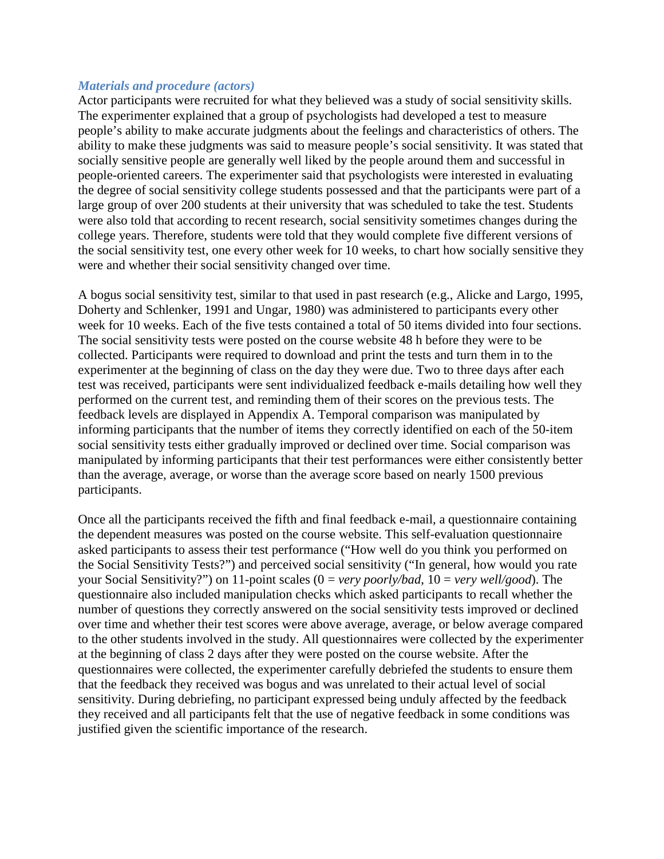## *Materials and procedure (actors)*

Actor participants were recruited for what they believed was a study of social sensitivity skills. The experimenter explained that a group of psychologists had developed a test to measure people's ability to make accurate judgments about the feelings and characteristics of others. The ability to make these judgments was said to measure people's social sensitivity. It was stated that socially sensitive people are generally well liked by the people around them and successful in people-oriented careers. The experimenter said that psychologists were interested in evaluating the degree of social sensitivity college students possessed and that the participants were part of a large group of over 200 students at their university that was scheduled to take the test. Students were also told that according to recent research, social sensitivity sometimes changes during the college years. Therefore, students were told that they would complete five different versions of the social sensitivity test, one every other week for 10 weeks, to chart how socially sensitive they were and whether their social sensitivity changed over time.

A bogus social sensitivity test, similar to that used in past research (e.g., Alicke and Largo, 1995, Doherty and Schlenker, 1991 and Ungar, 1980) was administered to participants every other week for 10 weeks. Each of the five tests contained a total of 50 items divided into four sections. The social sensitivity tests were posted on the course website 48 h before they were to be collected. Participants were required to download and print the tests and turn them in to the experimenter at the beginning of class on the day they were due. Two to three days after each test was received, participants were sent individualized feedback e-mails detailing how well they performed on the current test, and reminding them of their scores on the previous tests. The feedback levels are displayed in Appendix A. Temporal comparison was manipulated by informing participants that the number of items they correctly identified on each of the 50-item social sensitivity tests either gradually improved or declined over time. Social comparison was manipulated by informing participants that their test performances were either consistently better than the average, average, or worse than the average score based on nearly 1500 previous participants.

Once all the participants received the fifth and final feedback e-mail, a questionnaire containing the dependent measures was posted on the course website. This self-evaluation questionnaire asked participants to assess their test performance ("How well do you think you performed on the Social Sensitivity Tests?") and perceived social sensitivity ("In general, how would you rate your Social Sensitivity?") on 11-point scales (0 = *very poorly/bad*, 10 = *very well/good*). The questionnaire also included manipulation checks which asked participants to recall whether the number of questions they correctly answered on the social sensitivity tests improved or declined over time and whether their test scores were above average, average, or below average compared to the other students involved in the study. All questionnaires were collected by the experimenter at the beginning of class 2 days after they were posted on the course website. After the questionnaires were collected, the experimenter carefully debriefed the students to ensure them that the feedback they received was bogus and was unrelated to their actual level of social sensitivity. During debriefing, no participant expressed being unduly affected by the feedback they received and all participants felt that the use of negative feedback in some conditions was justified given the scientific importance of the research.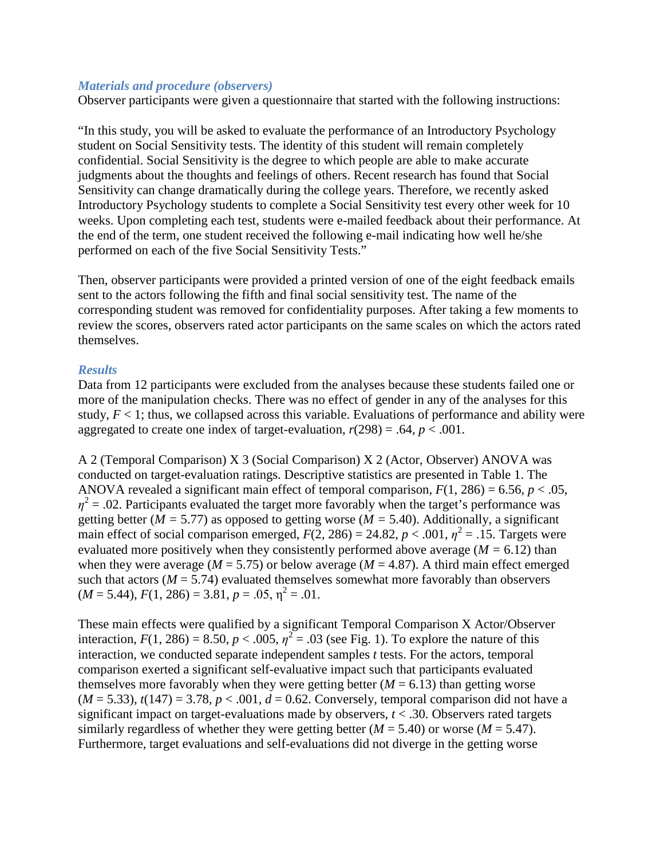## *Materials and procedure (observers)*

Observer participants were given a questionnaire that started with the following instructions:

"In this study, you will be asked to evaluate the performance of an Introductory Psychology student on Social Sensitivity tests. The identity of this student will remain completely confidential. Social Sensitivity is the degree to which people are able to make accurate judgments about the thoughts and feelings of others. Recent research has found that Social Sensitivity can change dramatically during the college years. Therefore, we recently asked Introductory Psychology students to complete a Social Sensitivity test every other week for 10 weeks. Upon completing each test, students were e-mailed feedback about their performance. At the end of the term, one student received the following e-mail indicating how well he/she performed on each of the five Social Sensitivity Tests."

Then, observer participants were provided a printed version of one of the eight feedback emails sent to the actors following the fifth and final social sensitivity test. The name of the corresponding student was removed for confidentiality purposes. After taking a few moments to review the scores, observers rated actor participants on the same scales on which the actors rated themselves.

# *Results*

Data from 12 participants were excluded from the analyses because these students failed one or more of the manipulation checks. There was no effect of gender in any of the analyses for this study,  $F < 1$ ; thus, we collapsed across this variable. Evaluations of performance and ability were aggregated to create one index of target-evaluation,  $r(298) = .64$ ,  $p < .001$ .

A 2 (Temporal Comparison) X 3 (Social Comparison) X 2 (Actor, Observer) ANOVA was conducted on target-evaluation ratings. Descriptive statistics are presented in Table 1. The ANOVA revealed a significant main effect of temporal comparison,  $F(1, 286) = 6.56$ ,  $p < .05$ ,  $\eta^2$  = .02. Participants evaluated the target more favorably when the target's performance was getting better ( $M = 5.77$ ) as opposed to getting worse ( $M = 5.40$ ). Additionally, a significant main effect of social comparison emerged,  $F(2, 286) = 24.82$ ,  $p < .001$ ,  $\eta^2 = .15$ . Targets were evaluated more positively when they consistently performed above average  $(M = 6.12)$  than when they were average ( $M = 5.75$ ) or below average ( $M = 4.87$ ). A third main effect emerged such that actors ( $M = 5.74$ ) evaluated themselves somewhat more favorably than observers  $(M = 5.44)$ ,  $F(1, 286) = 3.81$ ,  $p = .05$ ,  $\eta^2 = .01$ .

These main effects were qualified by a significant Temporal Comparison X Actor/Observer interaction,  $F(1, 286) = 8.50$ ,  $p < .005$ ,  $\eta^2 = .03$  (see Fig. 1). To explore the nature of this interaction, we conducted separate independent samples *t* tests. For the actors, temporal comparison exerted a significant self-evaluative impact such that participants evaluated themselves more favorably when they were getting better  $(M = 6.13)$  than getting worse  $(M = 5.33)$ ,  $t(147) = 3.78$ ,  $p < .001$ ,  $d = 0.62$ . Conversely, temporal comparison did not have a significant impact on target-evaluations made by observers, *t* < .30. Observers rated targets similarly regardless of whether they were getting better  $(M = 5.40)$  or worse  $(M = 5.47)$ . Furthermore, target evaluations and self-evaluations did not diverge in the getting worse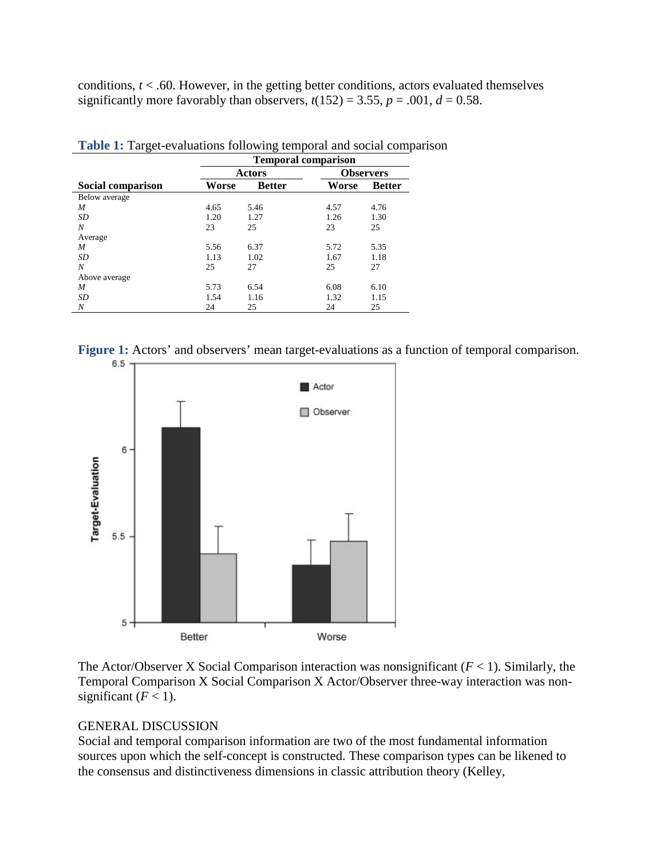conditions,  $t < .60$ . However, in the getting better conditions, actors evaluated themselves significantly more favorably than observers,  $t(152) = 3.55$ ,  $p = .001$ ,  $d = 0.58$ .

|                   | <b>Temporal comparison</b> |               |                  |               |  |  |
|-------------------|----------------------------|---------------|------------------|---------------|--|--|
|                   |                            | Actors        | <b>Observers</b> |               |  |  |
| Social comparison | Worse                      | <b>Better</b> | Worse            | <b>Better</b> |  |  |
| Below average     |                            |               |                  |               |  |  |
| M                 | 4.65                       | 5.46          | 4.57             | 4.76          |  |  |
| SD                | 1.20                       | 1.27          | 1.26             | 1.30          |  |  |
| N                 | 23                         | 25            | 23               | 25            |  |  |
| Average           |                            |               |                  |               |  |  |
| M                 | 5.56                       | 6.37          | 5.72             | 5.35          |  |  |
| SD                | 1.13                       | 1.02          | 1.67             | 1.18          |  |  |
| N                 | 25                         | 27            | 25               | 27            |  |  |
| Above average     |                            |               |                  |               |  |  |
| M                 | 5.73                       | 6.54          | 6.08             | 6.10          |  |  |
| SD                | 1.54                       | 1.16          | 1.32             | 1.15          |  |  |
| N                 | 24                         | 25            | 24               | 25            |  |  |

**Table 1:** Target-evaluations following temporal and social comparison

**Figure 1:** Actors' and observers' mean target-evaluations as a function of temporal comparison.



The Actor/Observer X Social Comparison interaction was nonsignificant  $(F < 1)$ . Similarly, the Temporal Comparison X Social Comparison X Actor/Observer three-way interaction was nonsignificant  $(F < 1)$ .

# GENERAL DISCUSSION

Social and temporal comparison information are two of the most fundamental information sources upon which the self-concept is constructed. These comparison types can be likened to the consensus and distinctiveness dimensions in classic attribution theory (Kelley,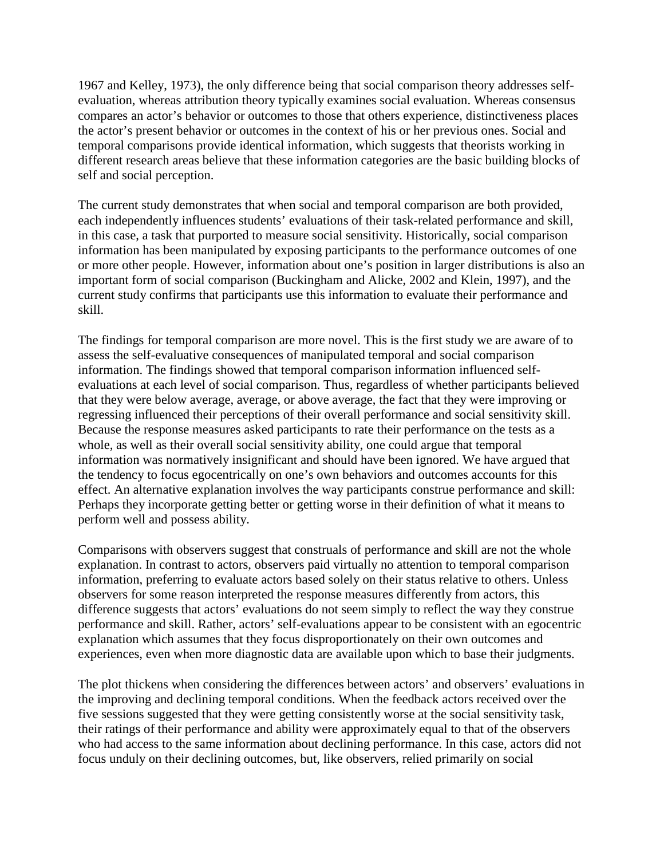1967 and Kelley, 1973), the only difference being that social comparison theory addresses selfevaluation, whereas attribution theory typically examines social evaluation. Whereas consensus compares an actor's behavior or outcomes to those that others experience, distinctiveness places the actor's present behavior or outcomes in the context of his or her previous ones. Social and temporal comparisons provide identical information, which suggests that theorists working in different research areas believe that these information categories are the basic building blocks of self and social perception.

The current study demonstrates that when social and temporal comparison are both provided, each independently influences students' evaluations of their task-related performance and skill, in this case, a task that purported to measure social sensitivity. Historically, social comparison information has been manipulated by exposing participants to the performance outcomes of one or more other people. However, information about one's position in larger distributions is also an important form of social comparison (Buckingham and Alicke, 2002 and Klein, 1997), and the current study confirms that participants use this information to evaluate their performance and skill.

The findings for temporal comparison are more novel. This is the first study we are aware of to assess the self-evaluative consequences of manipulated temporal and social comparison information. The findings showed that temporal comparison information influenced selfevaluations at each level of social comparison. Thus, regardless of whether participants believed that they were below average, average, or above average, the fact that they were improving or regressing influenced their perceptions of their overall performance and social sensitivity skill. Because the response measures asked participants to rate their performance on the tests as a whole, as well as their overall social sensitivity ability, one could argue that temporal information was normatively insignificant and should have been ignored. We have argued that the tendency to focus egocentrically on one's own behaviors and outcomes accounts for this effect. An alternative explanation involves the way participants construe performance and skill: Perhaps they incorporate getting better or getting worse in their definition of what it means to perform well and possess ability.

Comparisons with observers suggest that construals of performance and skill are not the whole explanation. In contrast to actors, observers paid virtually no attention to temporal comparison information, preferring to evaluate actors based solely on their status relative to others. Unless observers for some reason interpreted the response measures differently from actors, this difference suggests that actors' evaluations do not seem simply to reflect the way they construe performance and skill. Rather, actors' self-evaluations appear to be consistent with an egocentric explanation which assumes that they focus disproportionately on their own outcomes and experiences, even when more diagnostic data are available upon which to base their judgments.

The plot thickens when considering the differences between actors' and observers' evaluations in the improving and declining temporal conditions. When the feedback actors received over the five sessions suggested that they were getting consistently worse at the social sensitivity task, their ratings of their performance and ability were approximately equal to that of the observers who had access to the same information about declining performance. In this case, actors did not focus unduly on their declining outcomes, but, like observers, relied primarily on social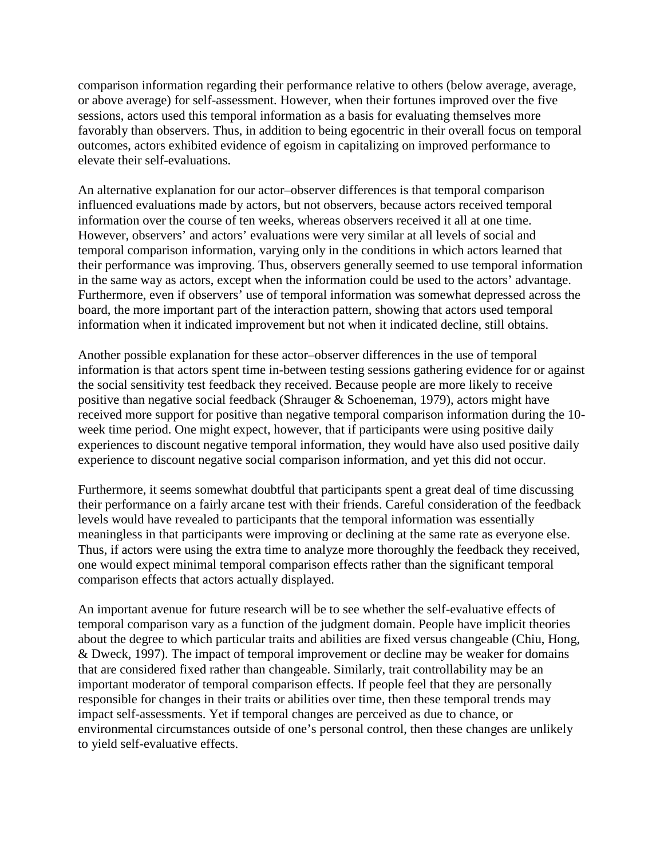comparison information regarding their performance relative to others (below average, average, or above average) for self-assessment. However, when their fortunes improved over the five sessions, actors used this temporal information as a basis for evaluating themselves more favorably than observers. Thus, in addition to being egocentric in their overall focus on temporal outcomes, actors exhibited evidence of egoism in capitalizing on improved performance to elevate their self-evaluations.

An alternative explanation for our actor–observer differences is that temporal comparison influenced evaluations made by actors, but not observers, because actors received temporal information over the course of ten weeks, whereas observers received it all at one time. However, observers' and actors' evaluations were very similar at all levels of social and temporal comparison information, varying only in the conditions in which actors learned that their performance was improving. Thus, observers generally seemed to use temporal information in the same way as actors, except when the information could be used to the actors' advantage. Furthermore, even if observers' use of temporal information was somewhat depressed across the board, the more important part of the interaction pattern, showing that actors used temporal information when it indicated improvement but not when it indicated decline, still obtains.

Another possible explanation for these actor–observer differences in the use of temporal information is that actors spent time in-between testing sessions gathering evidence for or against the social sensitivity test feedback they received. Because people are more likely to receive positive than negative social feedback (Shrauger & Schoeneman, 1979), actors might have received more support for positive than negative temporal comparison information during the 10 week time period. One might expect, however, that if participants were using positive daily experiences to discount negative temporal information, they would have also used positive daily experience to discount negative social comparison information, and yet this did not occur.

Furthermore, it seems somewhat doubtful that participants spent a great deal of time discussing their performance on a fairly arcane test with their friends. Careful consideration of the feedback levels would have revealed to participants that the temporal information was essentially meaningless in that participants were improving or declining at the same rate as everyone else. Thus, if actors were using the extra time to analyze more thoroughly the feedback they received, one would expect minimal temporal comparison effects rather than the significant temporal comparison effects that actors actually displayed.

An important avenue for future research will be to see whether the self-evaluative effects of temporal comparison vary as a function of the judgment domain. People have implicit theories about the degree to which particular traits and abilities are fixed versus changeable (Chiu, Hong, & Dweck, 1997). The impact of temporal improvement or decline may be weaker for domains that are considered fixed rather than changeable. Similarly, trait controllability may be an important moderator of temporal comparison effects. If people feel that they are personally responsible for changes in their traits or abilities over time, then these temporal trends may impact self-assessments. Yet if temporal changes are perceived as due to chance, or environmental circumstances outside of one's personal control, then these changes are unlikely to yield self-evaluative effects.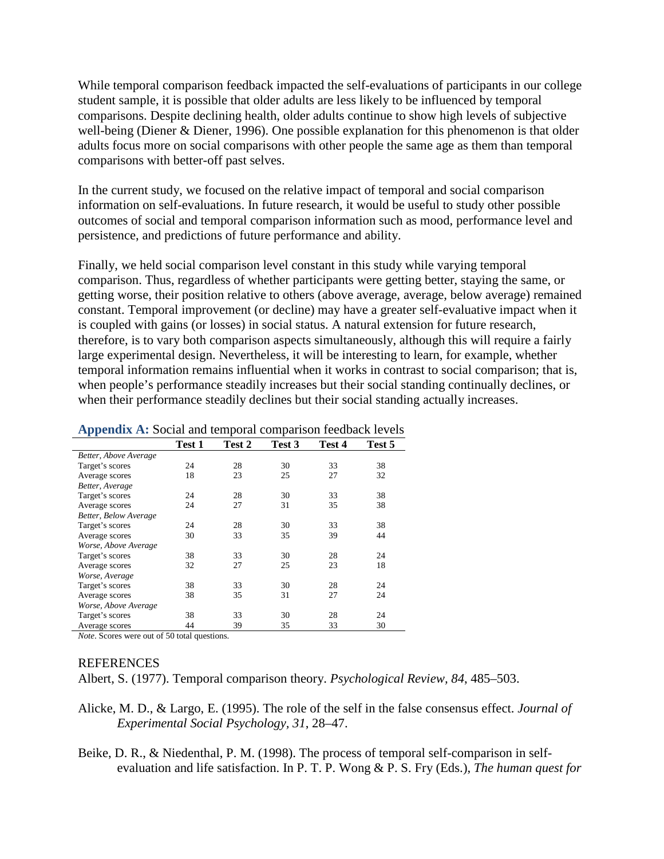While temporal comparison feedback impacted the self-evaluations of participants in our college student sample, it is possible that older adults are less likely to be influenced by temporal comparisons. Despite declining health, older adults continue to show high levels of subjective well-being (Diener & Diener, 1996). One possible explanation for this phenomenon is that older adults focus more on social comparisons with other people the same age as them than temporal comparisons with better-off past selves.

In the current study, we focused on the relative impact of temporal and social comparison information on self-evaluations. In future research, it would be useful to study other possible outcomes of social and temporal comparison information such as mood, performance level and persistence, and predictions of future performance and ability.

Finally, we held social comparison level constant in this study while varying temporal comparison. Thus, regardless of whether participants were getting better, staying the same, or getting worse, their position relative to others (above average, average, below average) remained constant. Temporal improvement (or decline) may have a greater self-evaluative impact when it is coupled with gains (or losses) in social status. A natural extension for future research, therefore, is to vary both comparison aspects simultaneously, although this will require a fairly large experimental design. Nevertheless, it will be interesting to learn, for example, whether temporal information remains influential when it works in contrast to social comparison; that is, when people's performance steadily increases but their social standing continually declines, or when their performance steadily declines but their social standing actually increases.

|                       | Test 1 | Test 2 | Test 3 | Test 4 | Test 5 |
|-----------------------|--------|--------|--------|--------|--------|
| Better, Above Average |        |        |        |        |        |
| Target's scores       | 24     | 28     | 30     | 33     | 38     |
| Average scores        | 18     | 23     | 25     | 27     | 32     |
| Better, Average       |        |        |        |        |        |
| Target's scores       | 24     | 28     | 30     | 33     | 38     |
| Average scores        | 24     | 27     | 31     | 35     | 38     |
| Better, Below Average |        |        |        |        |        |
| Target's scores       | 24     | 28     | 30     | 33     | 38     |
| Average scores        | 30     | 33     | 35     | 39     | 44     |
| Worse, Above Average  |        |        |        |        |        |
| Target's scores       | 38     | 33     | 30     | 28     | 24     |
| Average scores        | 32     | 27     | 25     | 23     | 18     |
| Worse, Average        |        |        |        |        |        |
| Target's scores       | 38     | 33     | 30     | 28     | 24     |
| Average scores        | 38     | 35     | 31     | 27     | 24     |
| Worse, Above Average  |        |        |        |        |        |
| Target's scores       | 38     | 33     | 30     | 28     | 24     |
| Average scores        | 44     | 39     | 35     | 33     | 30     |

|  | Appendix A: Social and temporal comparison feedback levels |  |  |
|--|------------------------------------------------------------|--|--|
|  |                                                            |  |  |

*Note*. Scores were out of 50 total questions.

### **REFERENCES**

Albert, S. (1977). Temporal comparison theory. *Psychological Review, 84*, 485–503.

- Alicke, M. D., & Largo, E. (1995). The role of the self in the false consensus effect. *Journal of Experimental Social Psychology, 31*, 28–47.
- Beike, D. R., & Niedenthal, P. M. (1998). The process of temporal self-comparison in selfevaluation and life satisfaction. In P. T. P. Wong & P. S. Fry (Eds.), *The human quest for*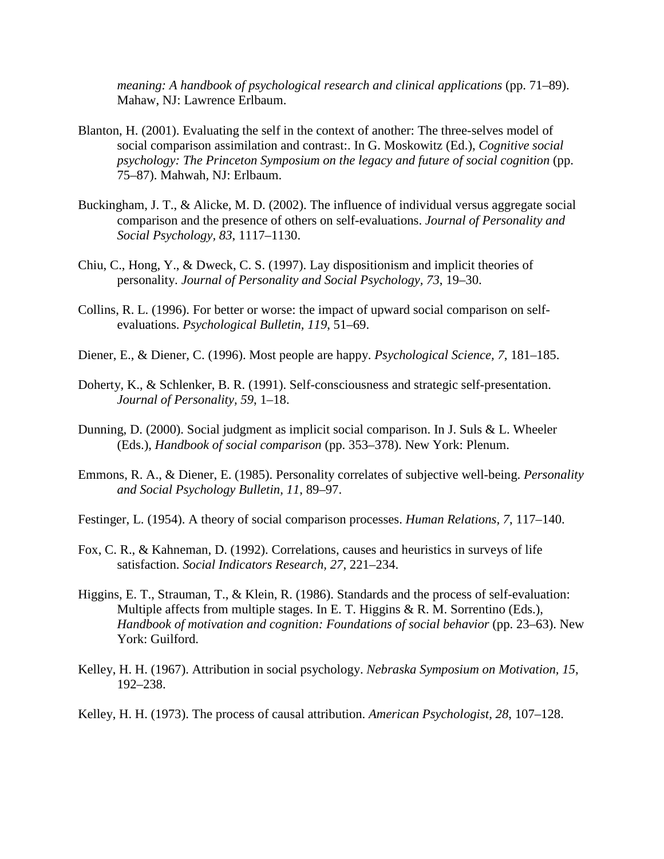*meaning: A handbook of psychological research and clinical applications* (pp. 71–89). Mahaw, NJ: Lawrence Erlbaum.

- Blanton, H. (2001). Evaluating the self in the context of another: The three-selves model of social comparison assimilation and contrast:. In G. Moskowitz (Ed.), *Cognitive social psychology: The Princeton Symposium on the legacy and future of social cognition* (pp. 75–87). Mahwah, NJ: Erlbaum.
- Buckingham, J. T., & Alicke, M. D. (2002). The influence of individual versus aggregate social comparison and the presence of others on self-evaluations. *Journal of Personality and Social Psychology, 83*, 1117–1130.
- Chiu, C., Hong, Y., & Dweck, C. S. (1997). Lay dispositionism and implicit theories of personality. *Journal of Personality and Social Psychology, 73*, 19–30.
- Collins, R. L. (1996). For better or worse: the impact of upward social comparison on selfevaluations. *Psychological Bulletin, 119*, 51–69.
- Diener, E., & Diener, C. (1996). Most people are happy. *Psychological Science, 7*, 181–185.
- Doherty, K., & Schlenker, B. R. (1991). Self-consciousness and strategic self-presentation. *Journal of Personality, 59*, 1–18.
- Dunning, D. (2000). Social judgment as implicit social comparison. In J. Suls & L. Wheeler (Eds.), *Handbook of social comparison* (pp. 353–378). New York: Plenum.
- Emmons, R. A., & Diener, E. (1985). Personality correlates of subjective well-being. *Personality and Social Psychology Bulletin, 11*, 89–97.
- Festinger, L. (1954). A theory of social comparison processes. *Human Relations, 7*, 117–140.
- Fox, C. R., & Kahneman, D. (1992). Correlations, causes and heuristics in surveys of life satisfaction. *Social Indicators Research, 27*, 221–234.
- Higgins, E. T., Strauman, T., & Klein, R. (1986). Standards and the process of self-evaluation: Multiple affects from multiple stages. In E. T. Higgins  $\&$  R. M. Sorrentino (Eds.), *Handbook of motivation and cognition: Foundations of social behavior* (pp. 23–63). New York: Guilford.
- Kelley, H. H. (1967). Attribution in social psychology. *Nebraska Symposium on Motivation, 15*, 192–238.
- Kelley, H. H. (1973). The process of causal attribution. *American Psychologist, 28*, 107–128.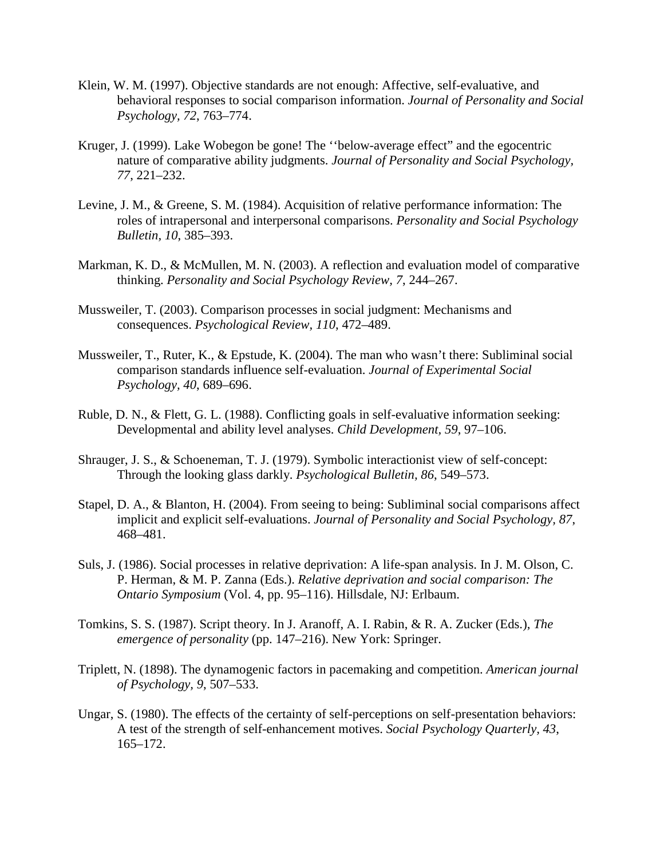- Klein, W. M. (1997). Objective standards are not enough: Affective, self-evaluative, and behavioral responses to social comparison information. *Journal of Personality and Social Psychology, 72*, 763–774.
- Kruger, J. (1999). Lake Wobegon be gone! The ''below-average effect" and the egocentric nature of comparative ability judgments. *Journal of Personality and Social Psychology, 77*, 221–232.
- Levine, J. M., & Greene, S. M. (1984). Acquisition of relative performance information: The roles of intrapersonal and interpersonal comparisons. *Personality and Social Psychology Bulletin, 10*, 385–393.
- Markman, K. D., & McMullen, M. N. (2003). A reflection and evaluation model of comparative thinking. *Personality and Social Psychology Review, 7*, 244–267.
- Mussweiler, T. (2003). Comparison processes in social judgment: Mechanisms and consequences. *Psychological Review, 110*, 472–489.
- Mussweiler, T., Ruter, K., & Epstude, K. (2004). The man who wasn't there: Subliminal social comparison standards influence self-evaluation. *Journal of Experimental Social Psychology, 40*, 689–696.
- Ruble, D. N., & Flett, G. L. (1988). Conflicting goals in self-evaluative information seeking: Developmental and ability level analyses. *Child Development, 59*, 97–106.
- Shrauger, J. S., & Schoeneman, T. J. (1979). Symbolic interactionist view of self-concept: Through the looking glass darkly. *Psychological Bulletin, 86*, 549–573.
- Stapel, D. A., & Blanton, H. (2004). From seeing to being: Subliminal social comparisons affect implicit and explicit self-evaluations. *Journal of Personality and Social Psychology, 87*, 468–481.
- Suls, J. (1986). Social processes in relative deprivation: A life-span analysis. In J. M. Olson, C. P. Herman, & M. P. Zanna (Eds.). *Relative deprivation and social comparison: The Ontario Symposium* (Vol. 4, pp. 95–116). Hillsdale, NJ: Erlbaum.
- Tomkins, S. S. (1987). Script theory. In J. Aranoff, A. I. Rabin, & R. A. Zucker (Eds.), *The emergence of personality* (pp. 147–216). New York: Springer.
- Triplett, N. (1898). The dynamogenic factors in pacemaking and competition. *American journal of Psychology, 9*, 507–533.
- Ungar, S. (1980). The effects of the certainty of self-perceptions on self-presentation behaviors: A test of the strength of self-enhancement motives. *Social Psychology Quarterly, 43*, 165–172.